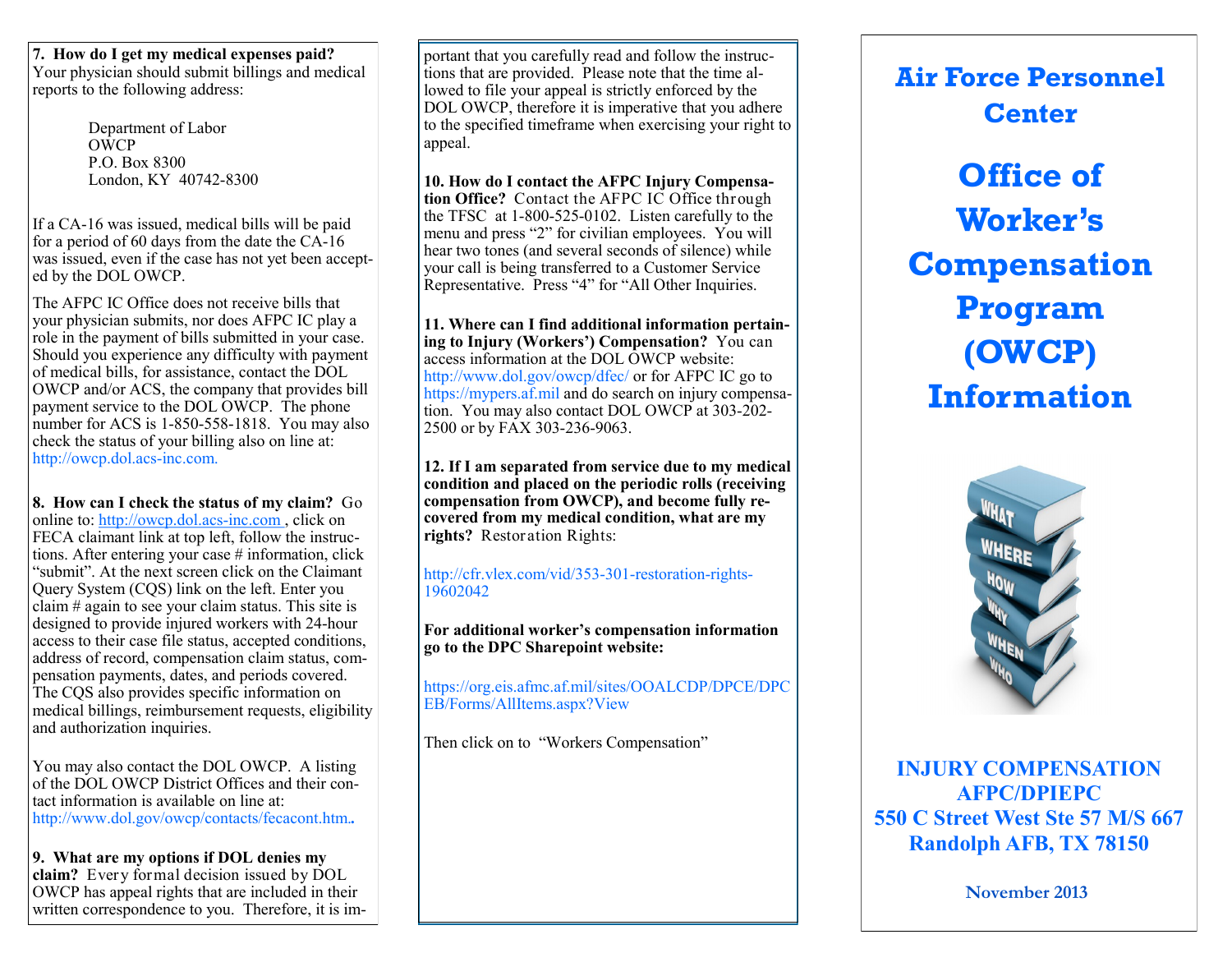**7. How do I get my medical expenses paid?** Your physician should submit billings and medical reports to the following address:

> Department of Labor OWCP P.O. Box 8300 London, KY 40742-8300

If a CA-16 was issued, medical bills will be paid for a period of 60 days from the date the CA-16 was issued, even if the case has not yet been accepted by the DOL OWCP.

The AFPC IC Office does not receive bills that your physician submits, nor does AFPC IC play a role in the payment of bills submitted in your case. Should you experience any difficulty with payment of medical bills, for assistance, contact the DOL OWCP and/or ACS, the company that provides bill payment service to the DOL OWCP. The phone number for ACS is 1-850-558-1818. You may also check the status of your billing also on line at: http://owcp.dol.acs-inc.com.

**8. How can I check the status of my claim?** Go online to: [http://ow](http://www.dol.gov/owcp/dfec/)cp.dol.acs-inc.com , click on FECA claimant link at top left, follow the instructions. After entering your case # information, click "submit". At the next screen click on the Claimant Query System (CQS) link on the left. Enter you claim # again to see your claim status. This site is designed to provide injured workers with 24-hour access to their case file status, accepted conditions, address of record, compensation claim status, compensation payments, dates, and periods covered. The CQS also provides specific information on medical billings, reimbursement requests, eligibility and authorization inquiries.

You may also contact the DOL OWCP. A listing of the DOL OWCP District Offices and their contact information is available on line at: http://www.dol.gov/owcp/contacts/fecacont.htm.*.*

**9. What are my options if DOL denies my claim?** Every formal decision issued by DOL OWCP has appeal rights that are included in their written correspondence to you. Therefore, it is im-

portant that you carefully read and follow the instructions that are provided. Please note that the time allowed to file your appeal is strictly enforced by the DOL OWCP, therefore it is imperative that you adhere to the specified timeframe when exercising your right to appeal.

**10. How do I contact the AFPC Injury Compensation Office?** Contact the AFPC IC Office through the TFSC at 1-800-525-0102. Listen carefully to the menu and press "2" for civilian employees. You will hear two tones (and several seconds of silence) while your call is being transferred to a Customer Service Representative. Press "4" for "All Other Inquiries.

**11. Where can I find additional information pertaining to Injury (Workers') Compensation?** You can access information at the DOL OWCP website: http://www.dol.gov/owcp/dfec/ or for AFPC IC go to https://mypers.af.mil and do search on injury compensation. You may also contact DOL OWCP at 303-202- 2500 or by FAX 303-236-9063.

**12. If I am separated from service due to my medical condition and placed on the periodic rolls (receiving compensation from OWCP), and become fully recovered from my medical condition, what are my rights?** Restoration Rights:

http://cfr.vlex.com/vid/353-301-restoration-rights-19602042

**For additional worker's compensation information go to the DPC Sharepoint website:** 

https://org.eis.afmc.af.mil/sites/OOALCDP/DPCE/DPC EB/Forms/AllItems.aspx?View

Then click on to "Workers Compensation"

**Air Force Personnel Center**

**Office of Worker's Compensation Program (OWCP) Information**



**INJURY COMPENSATION AFPC/DPIEPC 550 C Street West Ste 57 M/S 667 Randolph AFB, TX 78150**

**November 2013**